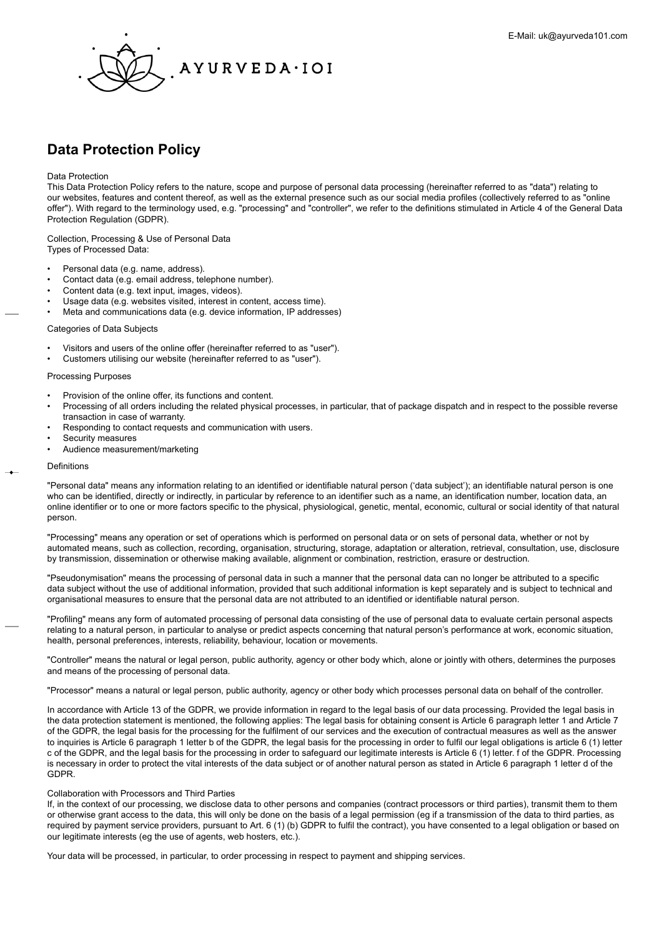<span id="page-0-0"></span>

# **Data Protection Policy**

## Data Protection

This Data Protection Policy refers to the nature, scope and purpose of personal data processing (hereinafter referred to as "data") relating to our websites, features and content thereof, as well as the external presence such as our social media profiles (collectively referred to as "online offer"). With regard to the terminology used, e.g. "processing" and "controller", we refer to the definitions stimulated in Article 4 of the General Data Protection Regulation (GDPR).

Collection, Processing & Use of Personal Data Types of Processed Data:

- Personal data (e.g. name, address).
- Contact data (e.g. email address, telephone number).
- Content data (e.g. text input, images, videos).
- Usage data (e.g. websites visited, interest in content, access time).
- Meta and communications data (e.g. device information, IP addresses)

## Categories of Data Subjects

- Visitors and users of the online offer (hereinafter referred to as "user").
- Customers utilising our website (hereinafter referred to as "user").

# Processing Purposes

- Provision of the online offer, its functions and content.
- Processing of all orders including the related physical processes, in particular, that of package dispatch and in respect to the possible reverse transaction in case of warranty.
- Responding to contact requests and communication with users.
- Security measures
- Audience measurement/marketing

#### Definitions

"Personal data" means any information relating to an identified or identifiable natural person ('data subject'); an identifiable natural person is one who can be identified, directly or indirectly, in particular by reference to an identifier such as a name, an identification number, location data, an online identifier or to one or more factors specific to the physical, physiological, genetic, mental, economic, cultural or social identity of that natural person.

"Processing" means any operation or set of operations which is performed on personal data or on sets of personal data, whether or not by automated means, such as collection, recording, organisation, structuring, storage, adaptation or alteration, retrieval, consultation, use, disclosure by transmission, dissemination or otherwise making available, alignment or combination, restriction, erasure or destruction.

"Pseudonymisation" means the processing of personal data in such a manner that the personal data can no longer be attributed to a specific data subject without the use of additional information, provided that such additional information is kept separately and is subject to technical and organisational measures to ensure that the personal data are not attributed to an identified or identifiable natural person.

"Profiling" means any form of automated processing of personal data consisting of the use of personal data to evaluate certain personal aspects relating to a natural person, in particular to analyse or predict aspects concerning that natural person's performance at work, economic situation, health, personal preferences, interests, reliability, behaviour, location or movements.

"Controller" means the natural or legal person, public authority, agency or other body which, alone or jointly with others, determines the purposes and means of the processing of personal data.

"Processor" means a natural or legal person, public authority, agency or other body which processes personal data on behalf of the controller.

In accordance with Article 13 of the GDPR, we provide information in regard to the legal basis of our data processing. Provided the legal basis in the data protection statement is mentioned, the following applies: The legal basis for obtaining consent is Article 6 paragraph letter 1 and Article 7 of the GDPR, the legal basis for the processing for the fulfilment of our services and the execution of contractual measures as well as the answer to inquiries is Article 6 paragraph 1 letter b of the GDPR, the legal basis for the processing in order to fulfil our legal obligations is article 6 (1) letter c of the GDPR, and the legal basis for the processing in order to safeguard our legitimate interests is Article 6 (1) letter. f of the GDPR. Processing is necessary in order to protect the vital interests of the data subject or of another natural person as stated in Article 6 paragraph 1 letter d of the GDPR.

## Collaboration with Processors and Third Parties

If, in the context of our processing, we disclose data to other persons and companies (contract processors or third parties), transmit them to them or otherwise grant access to the data, this will only be done on the basis of a legal permission (eg if a transmission of the data to third parties, as required by payment service providers, pursuant to Art. 6 (1) (b) GDPR to fulfil the contract), you have consented to a legal obligation or based on our legitimate interests (eg the use of agents, web hosters, etc.).

Your data will be processed, in particular, to order processing in respect to payment and shipping services.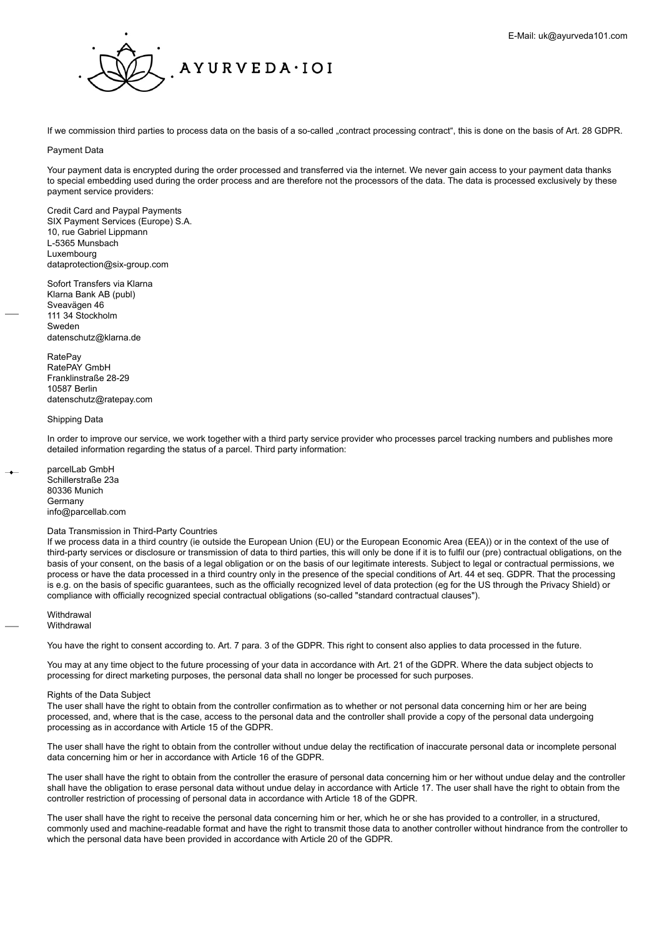

If we commission third parties to process data on the basis of a so-called "contract processing contract", this is done on the basis of Art. 28 GDPR.

## Payment Data

Your payment data is encrypted during the order processed and transferred via the internet. We never gain access to your payment data thanks to special embedding used during the order process and are therefore not the processors of the data. The data is processed exclusively by these payment service providers:

Credit Card and Paypal Payments SIX Payment Services (Europe) S.A. 10, rue Gabriel Lippmann L-5365 Munsbach Luxembourg dataprotection@six-group.com

Sofort Transfers via Klarna Klarna Bank AB (publ) Sveavägen 46 111 34 Stockholm Sweden datenschutz@klarna.de

**RatePay** RatePAY GmbH Franklinstraße 28-29 10587 Berlin datenschutz@ratepay.com

## Shipping Data

In order to improve our service, we work together with a third party service provider who processes parcel tracking numbers and publishes more detailed information regarding the status of a parcel. Third party information:

parcelLab GmbH Schillerstraße 23a 80336 Munich **Germany** info@parcellab.com

## Data Transmission in Third-Party Countries

If we process data in a third country (ie outside the European Union (EU) or the European Economic Area (EEA)) or in the context of the use of third-party services or disclosure or transmission of data to third parties, this will only be done if it is to fulfil our (pre) contractual obligations, on the basis of your consent, on the basis of a legal obligation or on the basis of our legitimate interests. Subject to legal or contractual permissions, we process or have the data processed in a third country only in the presence of the special conditions of Art. 44 et seq. GDPR. That the processing is e.g. on the basis of specific guarantees, such as the officially recognized level of data protection (eg for the US through the Privacy Shield) or compliance with officially recognized special contractual obligations (so-called "standard contractual clauses").

**Withdrawal Withdrawal** 

You have the right to consent according to. Art. 7 para. 3 of the GDPR. This right to consent also applies to data processed in the future.

You may at any time object to the future processing of your data in accordance with Art. 21 of the GDPR. Where the data subject objects to processing for direct marketing purposes, the personal data shall no longer be processed for such purposes.

#### Rights of the Data Subject

The user shall have the right to obtain from the controller confirmation as to whether or not personal data concerning him or her are being processed, and, where that is the case, access to the personal data and the controller shall provide a copy of the personal data undergoing processing as in accordance with Article 15 of the GDPR.

The user shall have the right to obtain from the controller without undue delay the rectification of inaccurate personal data or incomplete personal data concerning him or her in accordance with Article 16 of the GDPR.

The user shall have the right to obtain from the controller the erasure of personal data concerning him or her without undue delay and the controller shall have the obligation to erase personal data without undue delay in accordance with Article 17. The user shall have the right to obtain from the controller restriction of processing of personal data in accordance with Article 18 of the GDPR.

The user shall have the right to receive the personal data concerning him or her, which he or she has provided to a controller, in a structured, commonly used and machine-readable format and have the right to transmit those data to another controller without hindrance from the controller to which the personal data have been provided in accordance with Article 20 of the GDPR.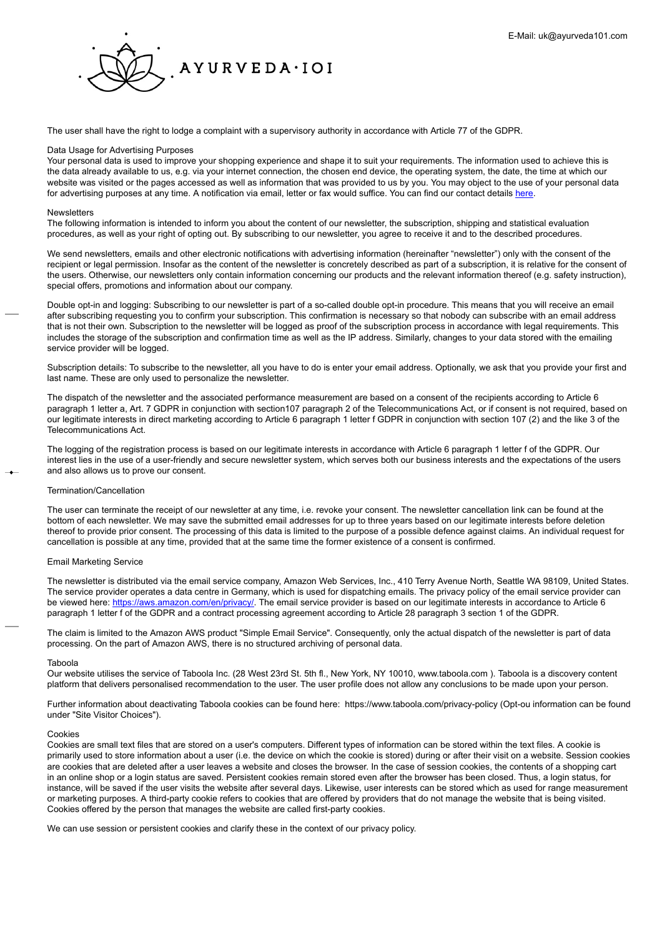

The user shall have the right to lodge a complaint with a supervisory authority in accordance with Article 77 of the GDPR.

## Data Usage for Advertising Purposes

Your personal data is used to improve your shopping experience and shape it to suit your requirements. The information used to achieve this is the data already available to us, e.g. via your internet connection, the chosen end device, the operating system, the date, the time at which our website was visited or the pages accessed as well as information that was provided to us by you. You may object to the use of your personal data for advertising purposes at any time. A notification via email, letter or fax would suffice. You can find our contact details [here](http://https://www.ayurveda101.at/info/kontakt).

## Newsletters

The following information is intended to inform you about the content of our newsletter, the subscription, shipping and statistical evaluation procedures, as well as your right of opting out. By subscribing to our newsletter, you agree to receive it and to the described procedures.

We send newsletters, emails and other electronic notifications with advertising information (hereinafter "newsletter") only with the consent of the recipient or legal permission. Insofar as the content of the newsletter is concretely described as part of a subscription, it is relative for the consent of the users. Otherwise, our newsletters only contain information concerning our products and the relevant information thereof (e.g. safety instruction), special offers, promotions and information about our company.

Double opt-in and logging: Subscribing to our newsletter is part of a so-called double opt-in procedure. This means that you will receive an email after subscribing requesting you to confirm your subscription. This confirmation is necessary so that nobody can subscribe with an email address that is not their own. Subscription to the newsletter will be logged as proof of the subscription process in accordance with legal requirements. This includes the storage of the subscription and confirmation time as well as the IP address. Similarly, changes to your data stored with the emailing service provider will be logged.

Subscription details: To subscribe to the newsletter, all you have to do is enter your email address. Optionally, we ask that you provide your first and last name. These are only used to personalize the newsletter.

The dispatch of the newsletter and the associated performance measurement are based on a consent of the recipients according to Article 6 paragraph 1 letter a, Art. 7 GDPR in conjunction with section107 paragraph 2 of the Telecommunications Act, or if consent is not required, based on our legitimate interests in direct marketing according to Article 6 paragraph 1 letter f GDPR in conjunction with section 107 (2) and the like 3 of the Telecommunications Act.

The logging of the registration process is based on our legitimate interests in accordance with Article 6 paragraph 1 letter f of the GDPR. Our interest lies in the use of a user-friendly and secure newsletter system, which serves both our business interests and the expectations of the users and also allows us to prove our consent.

## Termination/Cancellation

The user can terminate the receipt of our newsletter at any time, i.e. revoke your consent. The newsletter cancellation link can be found at the bottom of each newsletter. We may save the submitted email addresses for up to three years based on our legitimate interests before deletion thereof to provide prior consent. The processing of this data is limited to the purpose of a possible defence against claims. An individual request for cancellation is possible at any time, provided that at the same time the former existence of a consent is confirmed.

## Email Marketing Service

The newsletter is distributed via the email service company, Amazon Web Services, Inc., 410 Terry Avenue North, Seattle WA 98109, United States. The service provider operates a data centre in Germany, which is used for dispatching emails. The privacy policy of the email service provider can be viewed here: [https://aws.amazon.com/en/privacy/](https://aws.amazon.com/privacy/?nc1=h_ls). The email service provider is based on our legitimate interests in accordance to Article 6 paragraph 1 letter f of the GDPR and a contract processing agreement according to Article 28 paragraph 3 section 1 of the GDPR.

The claim is limited to the Amazon AWS product "Simple Email Service". Consequently, only the actual dispatch of the newsletter is part of data processing. On the part of Amazon AWS, there is no structured archiving of personal data.

#### Taboola

Our website utilises the service of Taboola Inc. (28 West 23rd St. 5th fl., New York, NY 10010, www.taboola.com ). Taboola is a discovery content platform that delivers personalised recommendation to the user. The user profile does not allow any conclusions to be made upon your person.

Further information about deactivating Taboola cookies can be found here: https://www.taboola.com/privacy-policy (Opt-ou information can be found under "Site Visitor Choices").

## Cookies

Cookies are small text files that are stored on a user's computers. Different types of information can be stored within the text files. A cookie is primarily used to store information about a user (i.e. the device on which the cookie is stored) during or after their visit on a website. Session cookies are cookies that are deleted after a user leaves a website and closes the browser. In the case of session cookies, the contents of a shopping cart in an online shop or a login status are saved. Persistent cookies remain stored even after the browser has been closed. Thus, a login status, for instance, will be saved if the user visits the website after several days. Likewise, user interests can be stored which as used for range measurement or marketing purposes. A third-party cookie refers to cookies that are offered by providers that do not manage the website that is being visited. Cookies offered by the person that manages the website are called first-party cookies.

We can use session or persistent cookies and clarify these in the context of our privacy policy.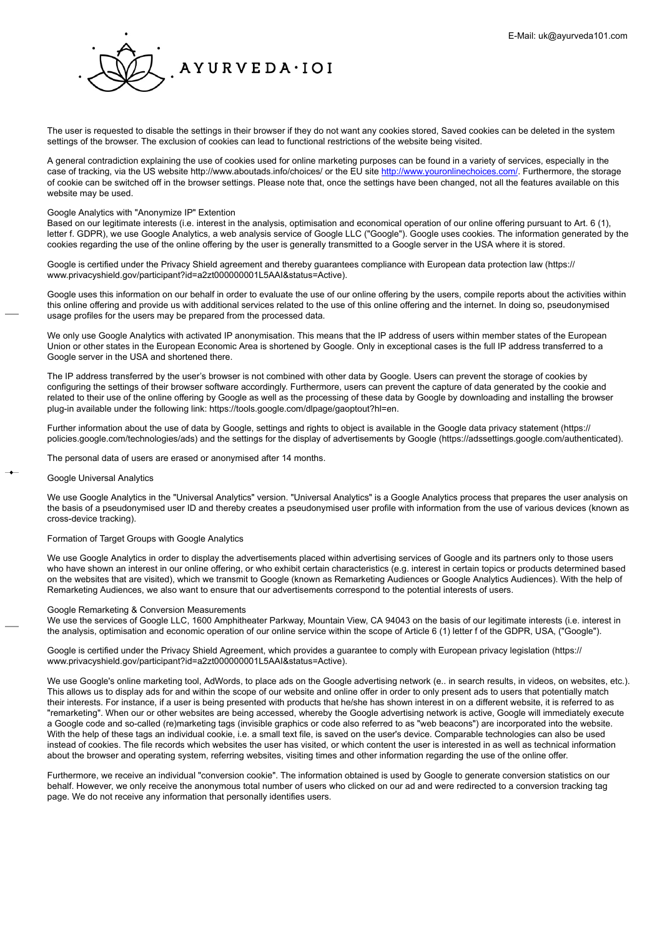

The user is requested to disable the settings in their browser if they do not want any cookies stored, Saved cookies can be deleted in the system settings of the browser. The exclusion of cookies can lead to functional restrictions of the website being visited.

A general contradiction explaining the use of cookies used for online marketing purposes can be found in a variety of services, especially in the case of tracking, via the US website http://www.aboutads.info/choices/ or the EU site [http://www.youronlinechoices.com/](https://www.youronlinechoices.com/). Furthermore, the storage of cookie can be switched off in the browser settings. Please note that, once the settings have been changed, not all the features available on this website may be used.

## Google Analytics with "Anonymize IP" Extention

Based on our legitimate interests (i.e. interest in the analysis, optimisation and economical operation of our online offering pursuant to Art. 6 (1), letter f. GDPR), we use Google Analytics, a web analysis service of Google LLC ("Google"). Google uses cookies. The information generated by the cookies regarding the use of the online offering by the user is generally transmitted to a Google server in the USA where it is stored.

Google is certified under the Privacy Shield agreement and thereby guarantees compliance with European data protection law (https:// www.privacyshield.gov/participant?id=a2zt000000001L5AAI&status=Active).

Google uses this information on our behalf in order to evaluate the use of our online offering by the users, compile reports about the activities within this online offering and provide us with additional services related to the use of this online offering and the internet. In doing so, pseudonymised usage profiles for the users may be prepared from the processed data.

We only use Google Analytics with activated IP anonymisation. This means that the IP address of users within member states of the European Union or other states in the European Economic Area is shortened by Google. Only in exceptional cases is the full IP address transferred to a Google server in the USA and shortened there.

The IP address transferred by the user's browser is not combined with other data by Google. Users can prevent the storage of cookies by configuring the settings of their browser software accordingly. Furthermore, users can prevent the capture of data generated by the cookie and related to their use of the online offering by Google as well as the processing of these data by Google by downloading and installing the browser plug-in available under the following link: https://tools.google.com/dlpage/gaoptout?hl=en.

Further information about the use of data by Google, settings and rights to object is available in the Google data privacy statement (https:// policies.google.com/technologies/ads) and the settings for the display of advertisements by Google (https://adssettings.google.com/authenticated).

The personal data of users are erased or anonymised after 14 months.

## Google Universal Analytics

We use Google Analytics in the "Universal Analytics" version. "Universal Analytics" is a Google Analytics process that prepares the user analysis on the basis of a pseudonymised user ID and thereby creates a pseudonymised user profile with information from the use of various devices (known as cross-device tracking).

## Formation of Target Groups with Google Analytics

We use Google Analytics in order to display the advertisements placed within advertising services of Google and its partners only to those users who have shown an interest in our online offering, or who exhibit certain characteristics (e.g. interest in certain topics or products determined based on the websites that are visited), which we transmit to Google (known as Remarketing Audiences or Google Analytics Audiences). With the help of Remarketing Audiences, we also want to ensure that our advertisements correspond to the potential interests of users.

# Google Remarketing & Conversion Measurements

We use the services of Google LLC, 1600 Amphitheater Parkway, Mountain View, CA 94043 on the basis of our legitimate interests (i.e. interest in the analysis, optimisation and economic operation of our online service within the scope of Article 6 (1) letter f of the GDPR, USA, ("Google").

Google is certified under the Privacy Shield Agreement, which provides a guarantee to comply with European privacy legislation (https:// www.privacyshield.gov/participant?id=a2zt000000001L5AAI&status=Active).

We use Google's online marketing tool, AdWords, to place ads on the Google advertising network (e.. in search results, in videos, on websites, etc.). This allows us to display ads for and within the scope of our website and online offer in order to only present ads to users that potentially match their interests. For instance, if a user is being presented with products that he/she has shown interest in on a different website, it is referred to as "remarketing". When our or other websites are being accessed, whereby the Google advertising network is active, Google will immediately execute a Google code and so-called (re)marketing tags (invisible graphics or code also referred to as "web beacons") are incorporated into the website. With the help of these tags an individual cookie, i.e. a small text file, is saved on the user's device. Comparable technologies can also be used instead of cookies. The file records which websites the user has visited, or which content the user is interested in as well as technical information about the browser and operating system, referring websites, visiting times and other information regarding the use of the online offer.

Furthermore, we receive an individual "conversion cookie". The information obtained is used by Google to generate conversion statistics on our behalf. However, we only receive the anonymous total number of users who clicked on our ad and were redirected to a conversion tracking tag page. We do not receive any information that personally identifies users.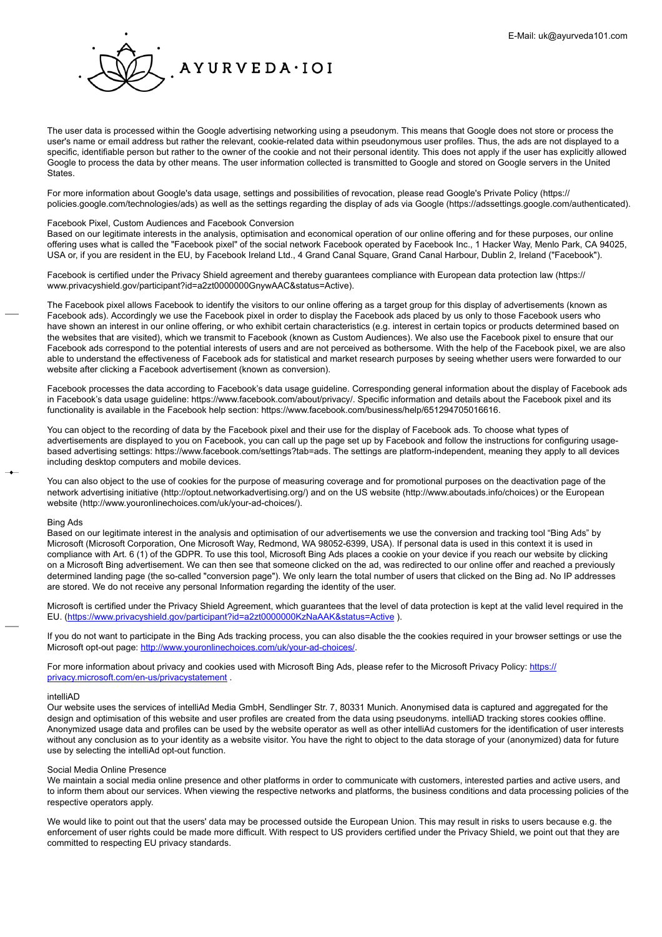

The user data is processed within the Google advertising networking using a pseudonym. This means that Google does not store or process the user's name or email address but rather the relevant, cookie-related data within pseudonymous user profiles. Thus, the ads are not displayed to a specific, identifiable person but rather to the owner of the cookie and not their personal identity. This does not apply if the user has explicitly allowed Google to process the data by other means. The user information collected is transmitted to Google and stored on Google servers in the United **States** 

For more information about Google's data usage, settings and possibilities of revocation, please read Google's Private Policy (https:// policies.google.com/technologies/ads) as well as the settings regarding the display of ads via Google (https://adssettings.google.com/authenticated).

## Facebook Pixel, Custom Audiences and Facebook Conversion

Based on our legitimate interests in the analysis, optimisation and economical operation of our online offering and for these purposes, our online offering uses what is called the "Facebook pixel" of the social network Facebook operated by Facebook Inc., 1 Hacker Way, Menlo Park, CA 94025, USA or, if you are resident in the EU, by Facebook Ireland Ltd., 4 Grand Canal Square, Grand Canal Harbour, Dublin 2, Ireland ("Facebook").

Facebook is certified under the Privacy Shield agreement and thereby guarantees compliance with European data protection law (https:// www.privacyshield.gov/participant?id=a2zt0000000GnywAAC&status=Active).

The Facebook pixel allows Facebook to identify the visitors to our online offering as a target group for this display of advertisements (known as Facebook ads). Accordingly we use the Facebook pixel in order to display the Facebook ads placed by us only to those Facebook users who have shown an interest in our online offering, or who exhibit certain characteristics (e.g. interest in certain topics or products determined based on the websites that are visited), which we transmit to Facebook (known as Custom Audiences). We also use the Facebook pixel to ensure that our Facebook ads correspond to the potential interests of users and are not perceived as bothersome. With the help of the Facebook pixel, we are also able to understand the effectiveness of Facebook ads for statistical and market research purposes by seeing whether users were forwarded to our website after clicking a Facebook advertisement (known as conversion).

Facebook processes the data according to Facebook's data usage guideline. Corresponding general information about the display of Facebook ads in Facebook's data usage guideline: https://www.facebook.com/about/privacy/. Specific information and details about the Facebook pixel and its functionality is available in the Facebook help section: https://www.facebook.com/business/help/651294705016616.

You can object to the recording of data by the Facebook pixel and their use for the display of Facebook ads. To choose what types of advertisements are displayed to you on Facebook, you can call up the page set up by Facebook and follow the instructions for configuring usagebased advertising settings: https://www.facebook.com/settings?tab=ads. The settings are platform-independent, meaning they apply to all devices including desktop computers and mobile devices.

You can also object to the use of cookies for the purpose of measuring coverage and for promotional purposes on the deactivation page of the network advertising initiative (http://optout.networkadvertising.org/) and on the US website (http://www.aboutads.info/choices) or the European website (http://www.youronlinechoices.com/uk/your-ad-choices/).

#### Bing Ads

Based on our legitimate interest in the analysis and optimisation of our advertisements we use the conversion and tracking tool "Bing Ads" by Microsoft (Microsoft Corporation, One Microsoft Way, Redmond, WA 98052-6399, USA). If personal data is used in this context it is used in compliance with Art. 6 (1) of the GDPR. To use this tool, Microsoft Bing Ads places a cookie on your device if you reach our website by clicking on a Microsoft Bing advertisement. We can then see that someone clicked on the ad, was redirected to our online offer and reached a previously determined landing page (the so-called "conversion page"). We only learn the total number of users that clicked on the Bing ad. No IP addresses are stored. We do not receive any personal Information regarding the identity of the user.

Microsoft is certified under the Privacy Shield Agreement, which guarantees that the level of data protection is kept at the valid level required in the EU. (<https://www.privacyshield.gov/participant?id=a2zt0000000KzNaAAK&status=Active> ).

If you do not want to participate in the Bing Ads tracking process, you can also disable the the cookies required in your browser settings or use the Microsoft opt-out page: [http://www.youronlinechoices.com/uk/your-ad-choices/.](http://www.youronlinechoices.com/uk/your-ad-choices/)

For more information about privacy and cookies used with Microsoft Bing Ads, please refer to the Microsoft Privacy Policy: [https://](https://privacy.microsoft.com/de-de/privacystatement) [privacy.microsoft.com/en-us/privacystatement](https://privacy.microsoft.com/de-de/privacystatement) .

#### intelliAD

Our website uses the services of intelliAd Media GmbH, Sendlinger Str. 7, 80331 Munich. Anonymised data is captured and aggregated for the design and optimisation of this website and user profiles are created from the data using pseudonyms. intelliAD tracking stores cookies offline. Anonymized usage data and profiles can be used by the website operator as well as other intelliAd customers for the identification of user interests without any conclusion as to your identity as a website visitor. You have the right to object to the data storage of your (anonymized) data for future use by selecting the intelliAd opt-out function.

## Social Media Online Presence

We maintain a social media online presence and other platforms in order to communicate with customers, interested parties and active users, and to inform them about our services. When viewing the respective networks and platforms, the business conditions and data processing policies of the respective operators apply.

We would like to point out that the users' data may be processed outside the European Union. This may result in risks to users because e.g. the enforcement of user rights could be made more difficult. With respect to US providers certified under the Privacy Shield, we point out that they are committed to respecting EU privacy standards.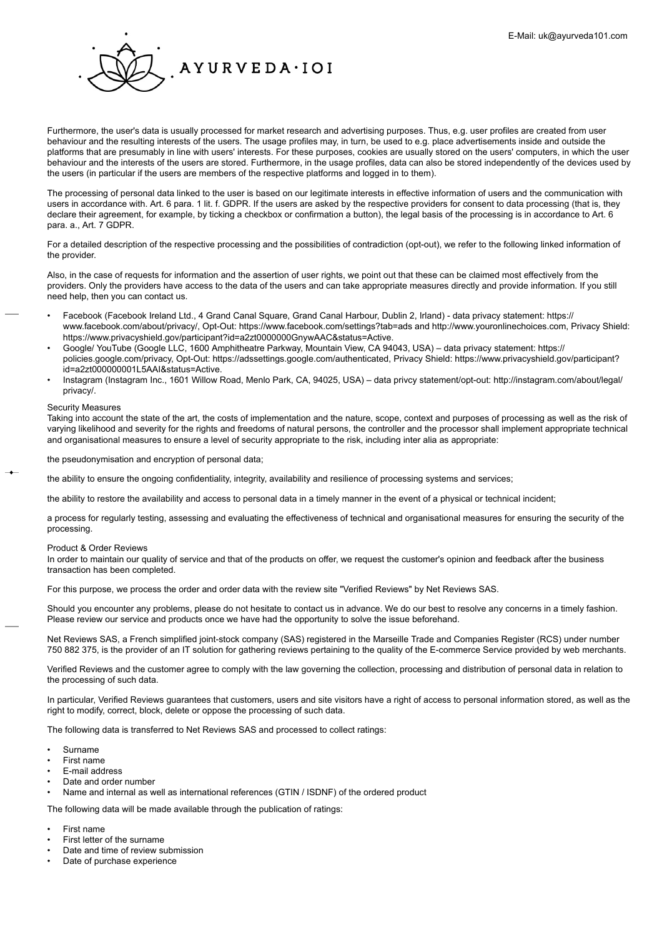

Furthermore, the user's data is usually processed for market research and advertising purposes. Thus, e.g. user profiles are created from user behaviour and the resulting interests of the users. The usage profiles may, in turn, be used to e.g. place advertisements inside and outside the platforms that are presumably in line with users' interests. For these purposes, cookies are usually stored on the users' computers, in which the user behaviour and the interests of the users are stored. Furthermore, in the usage profiles, data can also be stored independently of the devices used by the users (in particular if the users are members of the respective platforms and logged in to them).

The processing of personal data linked to the user is based on our legitimate interests in effective information of users and the communication with users in accordance with. Art. 6 para. 1 lit. f. GDPR. If the users are asked by the respective providers for consent to data processing (that is, they declare their agreement, for example, by ticking a checkbox or confirmation a button), the legal basis of the processing is in accordance to Art. 6 para. a., Art. 7 GDPR.

For a detailed description of the respective processing and the possibilities of contradiction (opt-out), we refer to the following linked information of the provider.

Also, in the case of requests for information and the assertion of user rights, we point out that these can be claimed most effectively from the providers. Only the providers have access to the data of the users and can take appropriate measures directly and provide information. If you still need help, then you can contact us.

- Facebook (Facebook Ireland Ltd., 4 Grand Canal Square, Grand Canal Harbour, Dublin 2, Irland) data privacy statement: https:// www.facebook.com/about/privacy/, Opt-Out: https://www.facebook.com/settings?tab=ads and http://www.youronlinechoices.com, Privacy Shield: https://www.privacyshield.gov/participant?id=a2zt0000000GnywAAC&status=Active.
- Google/ YouTube (Google LLC, 1600 Amphitheatre Parkway, Mountain View, CA 94043, USA) data privacy statement: https:// policies.google.com/privacy, Opt-Out: https://adssettings.google.com/authenticated, Privacy Shield: https://www.privacyshield.gov/participant? id=a2zt000000001L5AAI&status=Active.
- Instagram (Instagram Inc., 1601 Willow Road, Menlo Park, CA, 94025, USA) data privcy statement/opt-out: http://instagram.com/about/legal/ privacy/.

## Security Measures

Taking into account the state of the art, the costs of implementation and the nature, scope, context and purposes of processing as well as the risk of varying likelihood and severity for the rights and freedoms of natural persons, the controller and the processor shall implement appropriate technical and organisational measures to ensure a level of security appropriate to the risk, including inter alia as appropriate:

the pseudonymisation and encryption of personal data;

the ability to ensure the ongoing confidentiality, integrity, availability and resilience of processing systems and services;

the ability to restore the availability and access to personal data in a timely manner in the event of a physical or technical incident;

a process for regularly testing, assessing and evaluating the effectiveness of technical and organisational measures for ensuring the security of the processing.

## Product & Order Reviews

In order to maintain our quality of service and that of the products on offer, we request the customer's opinion and feedback after the business transaction has been completed.

For this purpose, we process the order and order data with the review site "Verified Reviews" by Net Reviews SAS.

Should you encounter any problems, please do not hesitate to contact us in advance. We do our best to resolve any concerns in a timely fashion. Please review our service and products once we have had the opportunity to solve the issue beforehand.

Net Reviews SAS, a French simplified joint-stock company (SAS) registered in the Marseille Trade and Companies Register (RCS) under number 750 882 375, is the provider of an IT solution for gathering reviews pertaining to the quality of the E-commerce Service provided by web merchants.

Verified Reviews and the customer agree to comply with the law governing the collection, processing and distribution of personal data in relation to the processing of such data.

In particular, Verified Reviews guarantees that customers, users and site visitors have a right of access to personal information stored, as well as the right to modify, correct, block, delete or oppose the processing of such data.

The following data is transferred to Net Reviews SAS and processed to collect ratings:

- Surname
- First name
- E-mail address
- Date and order number
- Name and internal as well as international references (GTIN / ISDNF) of the ordered product

The following data will be made available through the publication of ratings:

- First name
- First letter of the surname
- Date and time of review submission
- Date of purchase experience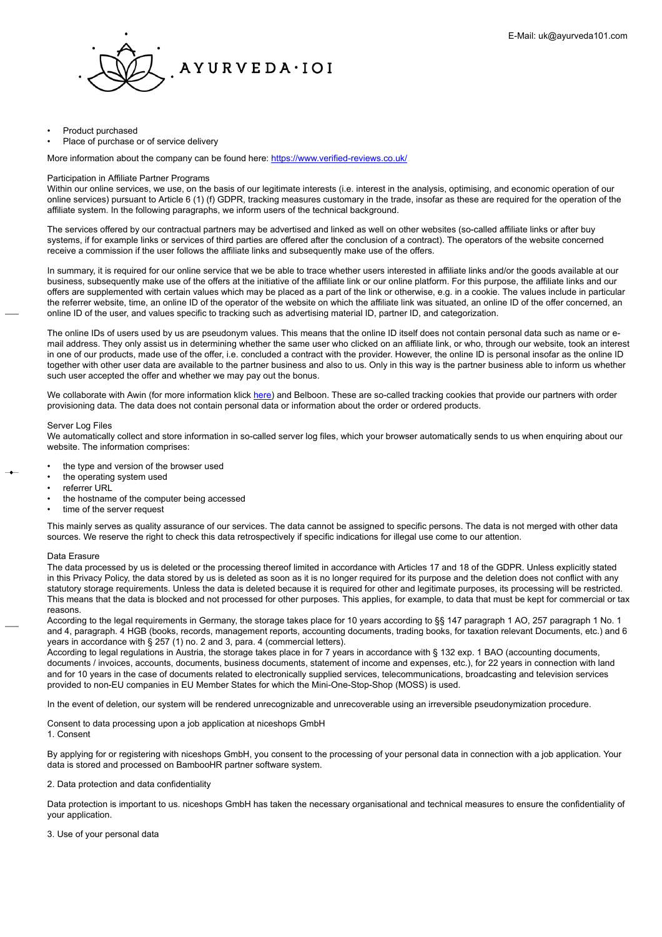

- Product purchased
- Place of purchase or of service delivery

More information about the company can be found here: <https://www.verified-reviews.co.uk/>

### Participation in Affiliate Partner Programs

Within our online services, we use, on the basis of our legitimate interests (i.e. interest in the analysis, optimising, and economic operation of our online services) pursuant to Article 6 (1) (f) GDPR, tracking measures customary in the trade, insofar as these are required for the operation of the affiliate system. In the following paragraphs, we inform users of the technical background.

The services offered by our contractual partners may be advertised and linked as well on other websites (so-called affiliate links or after buy systems, if for example links or services of third parties are offered after the conclusion of a contract). The operators of the website concerned receive a commission if the user follows the affiliate links and subsequently make use of the offers.

In summary, it is required for our online service that we be able to trace whether users interested in affiliate links and/or the goods available at our business, subsequently make use of the offers at the initiative of the affiliate link or our online platform. For this purpose, the affiliate links and our offers are supplemented with certain values which may be placed as a part of the link or otherwise, e.g. in a cookie. The values include in particular the referrer website, time, an online ID of the operator of the website on which the affiliate link was situated, an online ID of the offer concerned, an online ID of the user, and values specific to tracking such as advertising material ID, partner ID, and categorization.

The online IDs of users used by us are pseudonym values. This means that the online ID itself does not contain personal data such as name or email address. They only assist us in determining whether the same user who clicked on an affiliate link, or who, through our website, took an interest in one of our products, made use of the offer, i.e. concluded a contract with the provider. However, the online ID is personal insofar as the online ID together with other user data are available to the partner business and also to us. Only in this way is the partner business able to inform us whether such user accepted the offer and whether we may pay out the bonus.

We collaborate with Awin (for more information klick [here\)](#page-0-0) and Belboon. These are so-called tracking cookies that provide our partners with order provisioning data. The data does not contain personal data or information about the order or ordered products.

#### Server Log Files

We automatically collect and store information in so-called server log files, which your browser automatically sends to us when enquiring about our website. The information comprises:

- the type and version of the browser used
- the operating system used
- referrer URL
- the hostname of the computer being accessed
- time of the server request

This mainly serves as quality assurance of our services. The data cannot be assigned to specific persons. The data is not merged with other data sources. We reserve the right to check this data retrospectively if specific indications for illegal use come to our attention.

## Data Erasure

The data processed by us is deleted or the processing thereof limited in accordance with Articles 17 and 18 of the GDPR. Unless explicitly stated in this Privacy Policy, the data stored by us is deleted as soon as it is no longer required for its purpose and the deletion does not conflict with any statutory storage requirements. Unless the data is deleted because it is required for other and legitimate purposes, its processing will be restricted. This means that the data is blocked and not processed for other purposes. This applies, for example, to data that must be kept for commercial or tax reasons.

According to the legal requirements in Germany, the storage takes place for 10 years according to §§ 147 paragraph 1 AO, 257 paragraph 1 No. 1 and 4, paragraph. 4 HGB (books, records, management reports, accounting documents, trading books, for taxation relevant Documents, etc.) and 6 years in accordance with § 257 (1) no. 2 and 3, para. 4 (commercial letters).

According to legal regulations in Austria, the storage takes place in for 7 years in accordance with § 132 exp. 1 BAO (accounting documents, documents / invoices, accounts, documents, business documents, statement of income and expenses, etc.), for 22 years in connection with land and for 10 years in the case of documents related to electronically supplied services, telecommunications, broadcasting and television services provided to non-EU companies in EU Member States for which the Mini-One-Stop-Shop (MOSS) is used.

In the event of deletion, our system will be rendered unrecognizable and unrecoverable using an irreversible pseudonymization procedure.

Consent to data processing upon a job application at niceshops GmbH 1. Consent

By applying for or registering with niceshops GmbH, you consent to the processing of your personal data in connection with a job application. Your data is stored and processed on BambooHR partner software system.

2. Data protection and data confidentiality

Data protection is important to us. niceshops GmbH has taken the necessary organisational and technical measures to ensure the confidentiality of your application.

3. Use of your personal data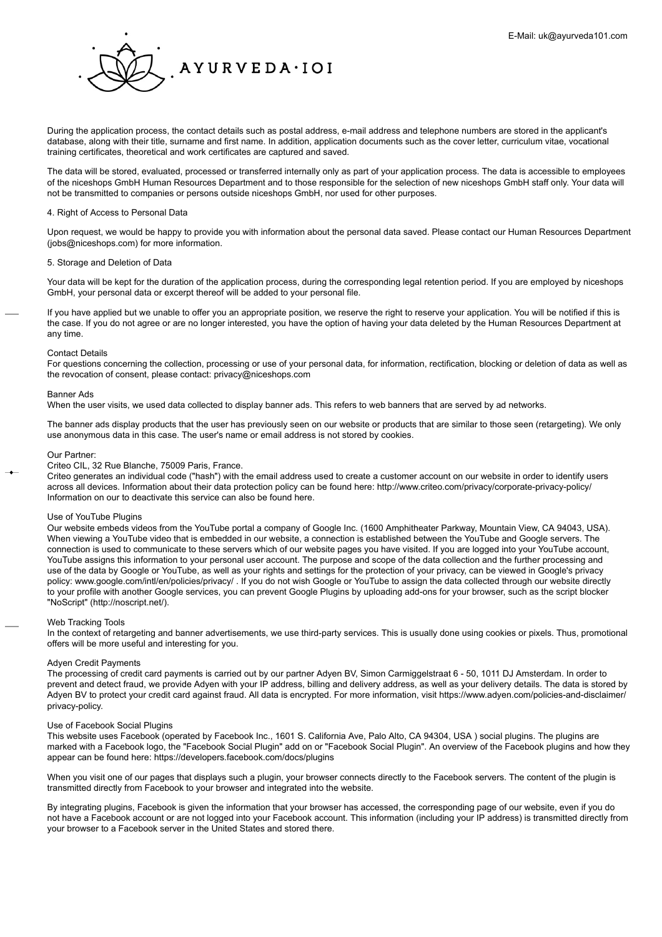

During the application process, the contact details such as postal address, e-mail address and telephone numbers are stored in the applicant's database, along with their title, surname and first name. In addition, application documents such as the cover letter, curriculum vitae, vocational training certificates, theoretical and work certificates are captured and saved.

The data will be stored, evaluated, processed or transferred internally only as part of your application process. The data is accessible to employees of the niceshops GmbH Human Resources Department and to those responsible for the selection of new niceshops GmbH staff only. Your data will not be transmitted to companies or persons outside niceshops GmbH, nor used for other purposes.

## 4. Right of Access to Personal Data

Upon request, we would be happy to provide you with information about the personal data saved. Please contact our Human Resources Department (jobs@niceshops.com) for more information.

## 5. Storage and Deletion of Data

Your data will be kept for the duration of the application process, during the corresponding legal retention period. If you are employed by niceshops GmbH, your personal data or excerpt thereof will be added to your personal file.

If you have applied but we unable to offer you an appropriate position, we reserve the right to reserve your application. You will be notified if this is the case. If you do not agree or are no longer interested, you have the option of having your data deleted by the Human Resources Department at any time.

#### Contact Details

For questions concerning the collection, processing or use of your personal data, for information, rectification, blocking or deletion of data as well as the revocation of consent, please contact: privacy@niceshops.com

## Banner Ads

When the user visits, we used data collected to display banner ads. This refers to web banners that are served by ad networks.

The banner ads display products that the user has previously seen on our website or products that are similar to those seen (retargeting). We only use anonymous data in this case. The user's name or email address is not stored by cookies.

#### Our Partner:

Criteo CIL, 32 Rue Blanche, 75009 Paris, France.

Criteo generates an individual code ("hash") with the email address used to create a customer account on our website in order to identify users across all devices. Information about their data protection policy can be found here: http://www.criteo.com/privacy/corporate-privacy-policy/ Information on our to deactivate this service can also be found here.

## Use of YouTube Plugins

Our website embeds videos from the YouTube portal a company of Google Inc. (1600 Amphitheater Parkway, Mountain View, CA 94043, USA). When viewing a YouTube video that is embedded in our website, a connection is established between the YouTube and Google servers. The connection is used to communicate to these servers which of our website pages you have visited. If you are logged into your YouTube account, YouTube assigns this information to your personal user account. The purpose and scope of the data collection and the further processing and use of the data by Google or YouTube, as well as your rights and settings for the protection of your privacy, can be viewed in Google's privacy policy: www.google.com/intl/en/policies/privacy/ . If you do not wish Google or YouTube to assign the data collected through our website directly to your profile with another Google services, you can prevent Google Plugins by uploading add-ons for your browser, such as the script blocker "NoScript" (http://noscript.net/).

## Web Tracking Tools

In the context of retargeting and banner advertisements, we use third-party services. This is usually done using cookies or pixels. Thus, promotional offers will be more useful and interesting for you.

## Adyen Credit Payments

The processing of credit card payments is carried out by our partner Adyen BV, Simon Carmiggelstraat 6 - 50, 1011 DJ Amsterdam. In order to prevent and detect fraud, we provide Adyen with your IP address, billing and delivery address, as well as your delivery details. The data is stored by Adyen BV to protect your credit card against fraud. All data is encrypted. For more information, visit https://www.adyen.com/policies-and-disclaimer/ privacy-policy.

## Use of Facebook Social Plugins

This website uses Facebook (operated by Facebook Inc., 1601 S. California Ave, Palo Alto, CA 94304, USA ) social plugins. The plugins are marked with a Facebook logo, the "Facebook Social Plugin" add on or "Facebook Social Plugin". An overview of the Facebook plugins and how they appear can be found here: https://developers.facebook.com/docs/plugins

When you visit one of our pages that displays such a plugin, your browser connects directly to the Facebook servers. The content of the plugin is transmitted directly from Facebook to your browser and integrated into the website.

By integrating plugins, Facebook is given the information that your browser has accessed, the corresponding page of our website, even if you do not have a Facebook account or are not logged into your Facebook account. This information (including your IP address) is transmitted directly from your browser to a Facebook server in the United States and stored there.